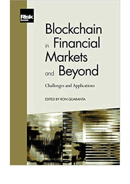

## **Blockchain** in Financial Markets and Beyond

**Challenges and Applications** 

EDITED BY RON QUARANTA

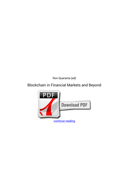*Ron Quaranta (ed)*

## **Blockchain in Financial Markets and Beyond**

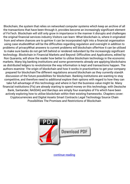Blockchain, the system that relies on networked computer systems which keep an archive of all the transactions that have been through it, provides become an increasingly significant element of FinTech. Blockchain will still only grow in importance in the manner it disrupts and challenges the original financial services industry.Visitors can learn: What blockchain is, where it originated from and where chances are to goHow it can be incorporated right into a financial organisation using case studiesWhat will be the difficulties regarding regulation and oversight in addition to problems of privacyWhat answers to current problems will blockchain offerHow it can be utilised to make sure banks do not get left behind or rendered redundant by the increasingly significant technology. Blockchain in Financial Markets and Beyond: Difficulties and Applications, edited by Ron Quaranta, will show the reader how better to utilise blockchain technology in the economic markets. Many big banking institutions and some governments already are applying blockchains as distributed ledgers to revolutionize the way information is kept and transactions happen. The authors examine: The origin of blockchain and how it works in practiceHow to get your company prepared for blockchainThe different regulations around blockchain as they currently standA discussion of the future possibilities for blockchain. Banking institutions are wanting to stay competitive, and therefore need to additional explore their options with regard to how they can take full advantage of this technology and where in fact the business value might lie. Many financial institutions (FIs) are already starting to spend money on this technology, with Deutsche Bank, Santander, NASDAQ and Barclays are simply four examples of FIs which have been actively exploring how to utilise blockchain within their existing frameworks. Chapters cover: Cryptocurrencies and Digital Assets Smart Contracts Legal Technology Source Chain Possibilities The Promises and Restrictions of Blockchain



[continue reading](http://bit.ly/2Tge8Fv)